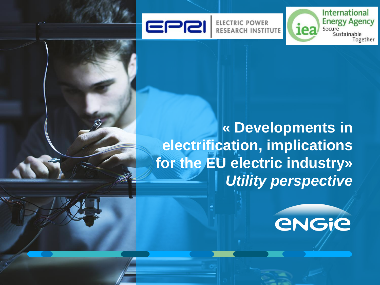

**ELECTRIC POWER RESEARCH INSTITUTE** 





**International Energy Agency** 

Sustainable

Together

Secure

iea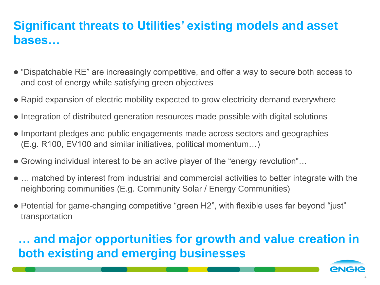# **Significant threats to Utilities' existing models and asset bases…**

- "Dispatchable RE" are increasingly competitive, and offer a way to secure both access to and cost of energy while satisfying green objectives
- Rapid expansion of electric mobility expected to grow electricity demand everywhere
- Integration of distributed generation resources made possible with digital solutions
- Important pledges and public engagements made across sectors and geographies (E.g. R100, EV100 and similar initiatives, political momentum…)
- Growing individual interest to be an active player of the "energy revolution"…
- … matched by interest from industrial and commercial activities to better integrate with the neighboring communities (E.g. Community Solar / Energy Communities)
- Potential for game-changing competitive "green H2", with flexible uses far beyond "just" transportation

**… and major opportunities for growth and value creation in both existing and emerging businesses**

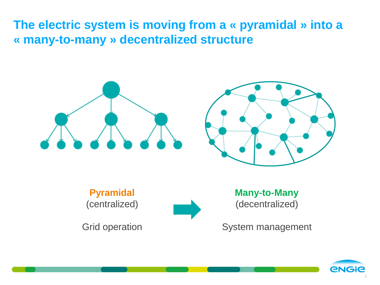**The electric system is moving from a « pyramidal » into a « many-to-many » decentralized structure**





**Pyramidal** (centralized)



Grid operation

**Many-to-Many** (decentralized)

System management

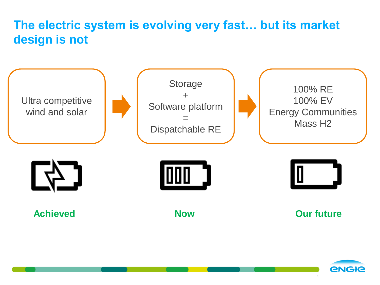# **The electric system is evolving very fast… but its market design is not**



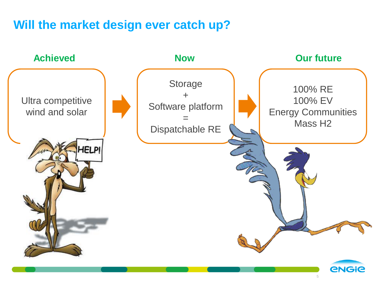#### **Will the market design ever catch up?**

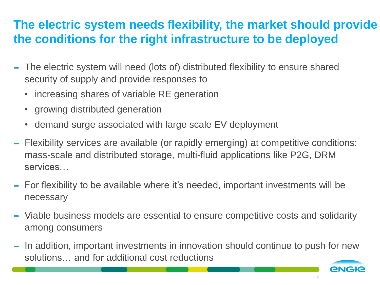# **The electric system needs flexibility, the market should provide the conditions for the right infrastructure to be deployed**

- The electric system will need (lots of) distributed flexibility to ensure shared  $\blacksquare$ security of supply and provide responses to
	- increasing shares of variable RE generation
	- growing distributed generation
	- demand surge associated with large scale EV deployment
- Flexibility services are available (or rapidly emerging) at competitive conditions:  $\frac{1}{2}$ mass-scale and distributed storage, multi-fluid applications like P2G, DRM services…
- For flexibility to be available where it's needed, important investments will be necessary
- Viable business models are essential to ensure competitive costs and solidarity among consumers
- In addition, important investments in innovation should continue to push for new solutions… and for additional cost reductions

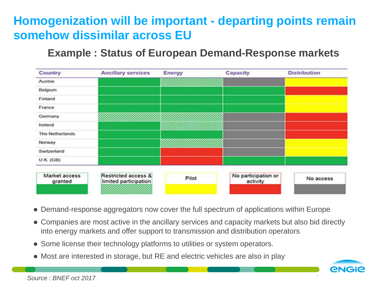# **Homogenization will be important - departing points remain somehow dissimilar across EU**

#### **Example : Status of European Demand-Response markets**

| Country                  | <b>Ancillary services</b>                    | Energy | Capacity                        | <b>Distribution</b> |
|--------------------------|----------------------------------------------|--------|---------------------------------|---------------------|
| Austria                  |                                              |        |                                 |                     |
| Belgium                  |                                              |        |                                 |                     |
| Finland                  |                                              |        |                                 |                     |
| France                   |                                              |        |                                 |                     |
| Germany                  |                                              |        |                                 |                     |
| Ireland                  |                                              |        |                                 |                     |
| The Netherlands          |                                              |        |                                 |                     |
| Norway                   |                                              |        |                                 |                     |
| Switzerland              |                                              |        |                                 |                     |
| <b>U.K.</b> (GB)         |                                              |        |                                 |                     |
|                          |                                              |        |                                 |                     |
| Market access<br>granted | Restricted access &<br>limited participation | Pilot  | No participation or<br>activity | No access           |
|                          |                                              |        |                                 |                     |

- Demand-response aggregators now cover the full spectrum of applications within Europe
- Companies are most active in the ancillary services and capacity markets but also bid directly into energy markets and offer support to transmission and distribution operators
- Some license their technology platforms to utilities or system operators.
- Most are interested in storage, but RE and electric vehicles are also in play

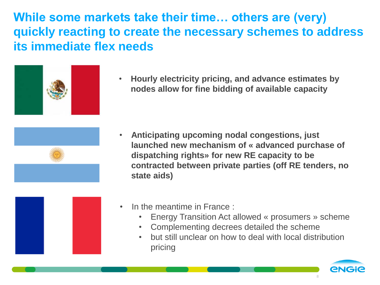**While some markets take their time… others are (very) quickly reacting to create the necessary schemes to address its immediate flex needs**



• **Hourly electricity pricing, and advance estimates by nodes allow for fine bidding of available capacity**



• **Anticipating upcoming nodal congestions, just launched new mechanism of « advanced purchase of dispatching rights» for new RE capacity to be contracted between private parties (off RE tenders, no state aids)**



- In the meantime in France :
	- Energy Transition Act allowed « prosumers » scheme
	- Complementing decrees detailed the scheme
	- but still unclear on how to deal with local distribution pricing